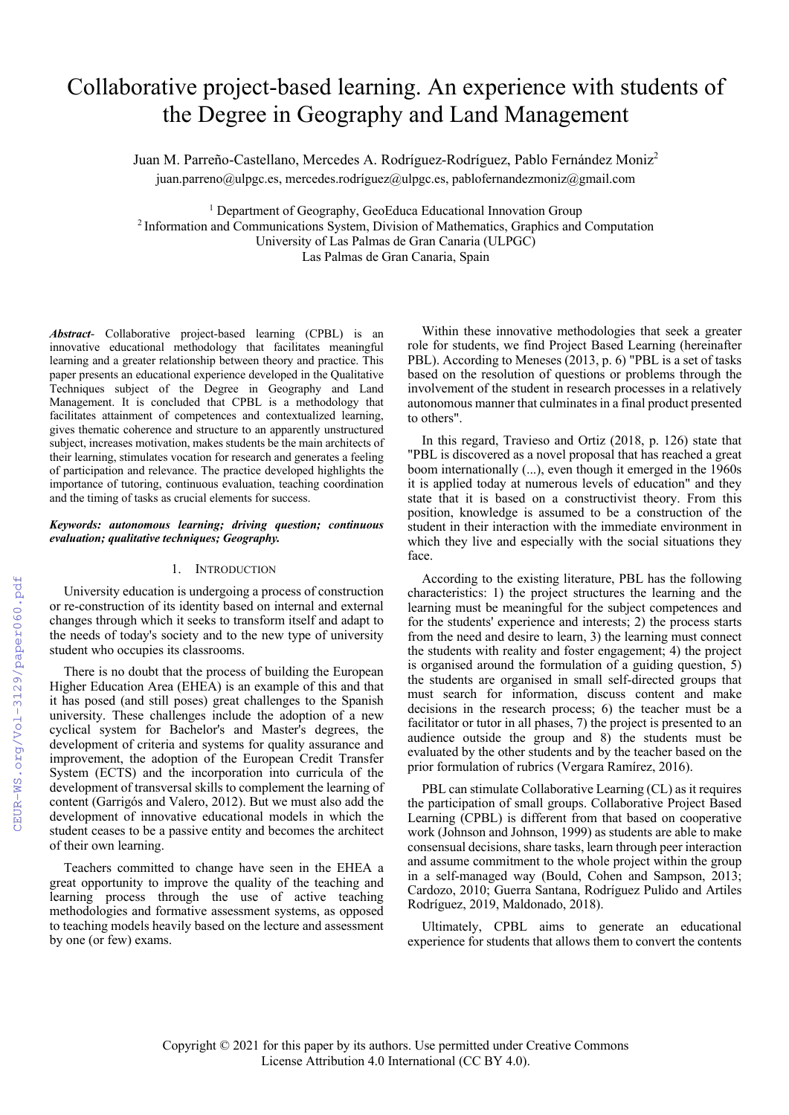# Collaborative project-based learning. An experience with students of the Degree in Geography and Land Management

Juan M. Parreño-Castellano, Mercedes A. Rodríguez-Rodríguez, Pablo Fernández Moniz<sup>2</sup> juan.parreno@ulpgc.es, mercedes.rodríguez@ulpgc.es, pablofernandezmoniz@gmail.com

<sup>1</sup> Department of Geography, GeoEduca Educational Innovation Group 2 Information and Communications System, Division of Mathematics, Graphics and Computation University of Las Palmas de Gran Canaria (ULPGC) Las Palmas de Gran Canaria, Spain

*Abstract*- Collaborative project-based learning (CPBL) is an innovative educational methodology that facilitates meaningful learning and a greater relationship between theory and practice. This paper presents an educational experience developed in the Qualitative Techniques subject of the Degree in Geography and Land Management. It is concluded that CPBL is a methodology that facilitates attainment of competences and contextualized learning, gives thematic coherence and structure to an apparently unstructured subject, increases motivation, makes students be the main architects of their learning, stimulates vocation for research and generates a feeling of participation and relevance. The practice developed highlights the importance of tutoring, continuous evaluation, teaching coordination

#### *Keywords: autonomous learning; driving question; continuous evaluation; qualitative techniques; Geography.*

and the timing of tasks as crucial elements for success.

## 1. INTRODUCTION

University education is undergoing a process of construction or re-construction of its identity based on internal and external changes through which it seeks to transform itself and adapt to the needs of today's society and to the new type of university student who occupies its classrooms.

There is no doubt that the process of building the European Higher Education Area (EHEA) is an example of this and that it has posed (and still poses) great challenges to the Spanish university. These challenges include the adoption of a new cyclical system for Bachelor's and Master's degrees, the development of criteria and systems for quality assurance and improvement, the adoption of the European Credit Transfer System (ECTS) and the incorporation into curricula of the development of transversal skills to complement the learning of content (Garrigós and Valero, 2012). But we must also add the development of innovative educational models in which the student ceases to be a passive entity and becomes the architect of their own learning.

Teachers committed to change have seen in the EHEA a great opportunity to improve the quality of the teaching and learning process through the use of active teaching methodologies and formative assessment systems, as opposed to teaching models heavily based on the lecture and assessment by one (or few) exams.

Within these innovative methodologies that seek a greater role for students, we find Project Based Learning (hereinafter PBL). According to Meneses (2013, p. 6) "PBL is a set of tasks based on the resolution of questions or problems through the involvement of the student in research processes in a relatively autonomous manner that culminates in a final product presented to others".

In this regard, Travieso and Ortiz (2018, p. 126) state that "PBL is discovered as a novel proposal that has reached a great boom internationally (...), even though it emerged in the 1960s it is applied today at numerous levels of education" and they state that it is based on a constructivist theory. From this position, knowledge is assumed to be a construction of the student in their interaction with the immediate environment in which they live and especially with the social situations they face.

According to the existing literature, PBL has the following characteristics: 1) the project structures the learning and the learning must be meaningful for the subject competences and for the students' experience and interests; 2) the process starts from the need and desire to learn, 3) the learning must connect the students with reality and foster engagement; 4) the project is organised around the formulation of a guiding question, 5) the students are organised in small self-directed groups that must search for information, discuss content and make decisions in the research process; 6) the teacher must be a facilitator or tutor in all phases, 7) the project is presented to an audience outside the group and 8) the students must be evaluated by the other students and by the teacher based on the prior formulation of rubrics (Vergara Ramírez, 2016).

PBL can stimulate Collaborative Learning (CL) as it requires the participation of small groups. Collaborative Project Based Learning (CPBL) is different from that based on cooperative work (Johnson and Johnson, 1999) as students are able to make consensual decisions, share tasks, learn through peer interaction and assume commitment to the whole project within the group in a self-managed way (Bould, Cohen and Sampson, 2013; Cardozo, 2010; Guerra Santana, Rodríguez Pulido and Artiles Rodríguez, 2019, Maldonado, 2018).

Ultimately, CPBL aims to generate an educational experience for students that allows them to convert the contents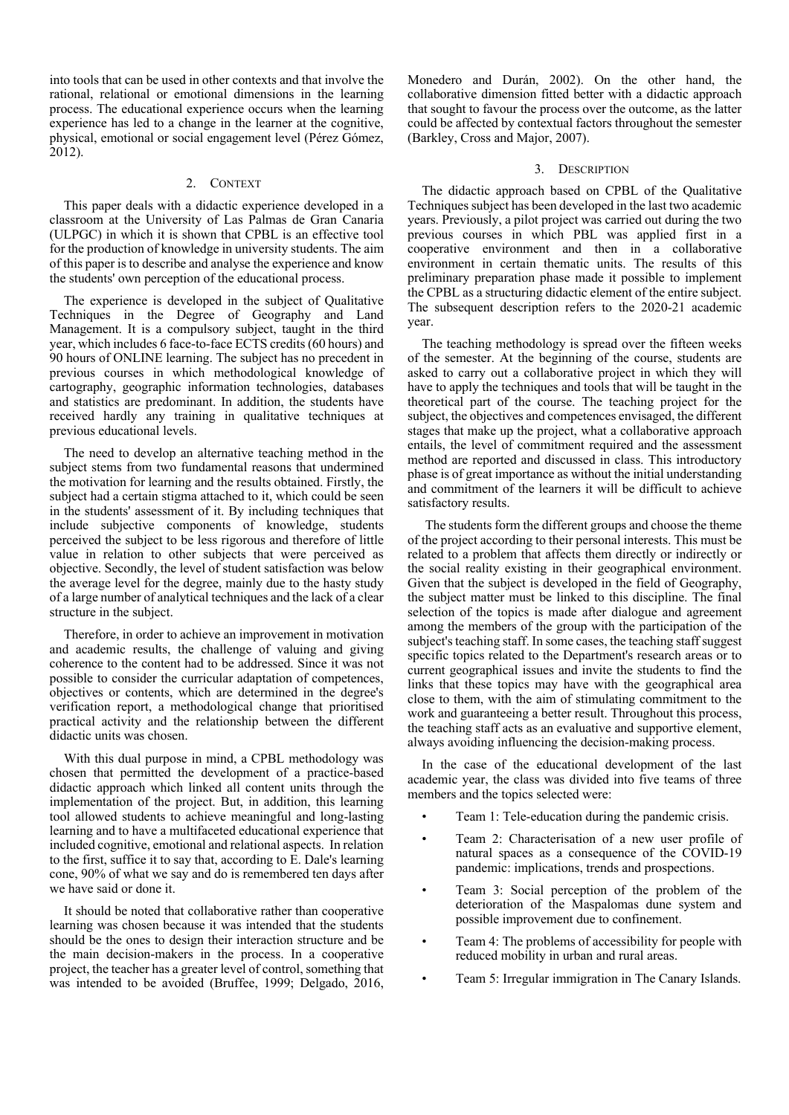into tools that can be used in other contexts and that involve the rational, relational or emotional dimensions in the learning process. The educational experience occurs when the learning experience has led to a change in the learner at the cognitive, physical, emotional or social engagement level (Pérez Gómez, 2012).

## 2. CONTEXT

This paper deals with a didactic experience developed in a classroom at the University of Las Palmas de Gran Canaria (ULPGC) in which it is shown that CPBL is an effective tool for the production of knowledge in university students. The aim of this paper is to describe and analyse the experience and know the students' own perception of the educational process.

The experience is developed in the subject of Qualitative Techniques in the Degree of Geography and Land Management. It is a compulsory subject, taught in the third year, which includes 6 face-to-face ECTS credits(60 hours) and 90 hours of ONLINE learning. The subject has no precedent in previous courses in which methodological knowledge of cartography, geographic information technologies, databases and statistics are predominant. In addition, the students have received hardly any training in qualitative techniques at previous educational levels.

The need to develop an alternative teaching method in the subject stems from two fundamental reasons that undermined the motivation for learning and the results obtained. Firstly, the subject had a certain stigma attached to it, which could be seen in the students' assessment of it. By including techniques that include subjective components of knowledge, students perceived the subject to be less rigorous and therefore of little value in relation to other subjects that were perceived as objective. Secondly, the level of student satisfaction was below the average level for the degree, mainly due to the hasty study of a large number of analytical techniques and the lack of a clear structure in the subject.

Therefore, in order to achieve an improvement in motivation and academic results, the challenge of valuing and giving coherence to the content had to be addressed. Since it was not possible to consider the curricular adaptation of competences, objectives or contents, which are determined in the degree's verification report, a methodological change that prioritised practical activity and the relationship between the different didactic units was chosen.

With this dual purpose in mind, a CPBL methodology was chosen that permitted the development of a practice-based didactic approach which linked all content units through the implementation of the project. But, in addition, this learning tool allowed students to achieve meaningful and long-lasting learning and to have a multifaceted educational experience that included cognitive, emotional and relational aspects. In relation to the first, suffice it to say that, according to E. Dale's learning cone, 90% of what we say and do is remembered ten days after we have said or done it.

It should be noted that collaborative rather than cooperative learning was chosen because it was intended that the students should be the ones to design their interaction structure and be the main decision-makers in the process. In a cooperative project, the teacher has a greater level of control, something that was intended to be avoided (Bruffee, 1999; Delgado, 2016, Monedero and Durán, 2002). On the other hand, the collaborative dimension fitted better with a didactic approach that sought to favour the process over the outcome, as the latter could be affected by contextual factors throughout the semester (Barkley, Cross and Major, 2007).

#### 3. DESCRIPTION

The didactic approach based on CPBL of the Qualitative Techniques subject has been developed in the last two academic years. Previously, a pilot project was carried out during the two previous courses in which PBL was applied first in a cooperative environment and then in a collaborative environment in certain thematic units. The results of this preliminary preparation phase made it possible to implement the CPBL as a structuring didactic element of the entire subject. The subsequent description refers to the 2020-21 academic year.

The teaching methodology is spread over the fifteen weeks of the semester. At the beginning of the course, students are asked to carry out a collaborative project in which they will have to apply the techniques and tools that will be taught in the theoretical part of the course. The teaching project for the subject, the objectives and competences envisaged, the different stages that make up the project, what a collaborative approach entails, the level of commitment required and the assessment method are reported and discussed in class. This introductory phase is of great importance as without the initial understanding and commitment of the learners it will be difficult to achieve satisfactory results.

The students form the different groups and choose the theme of the project according to their personal interests. This must be related to a problem that affects them directly or indirectly or the social reality existing in their geographical environment. Given that the subject is developed in the field of Geography, the subject matter must be linked to this discipline. The final selection of the topics is made after dialogue and agreement among the members of the group with the participation of the subject's teaching staff. In some cases, the teaching staff suggest specific topics related to the Department's research areas or to current geographical issues and invite the students to find the links that these topics may have with the geographical area close to them, with the aim of stimulating commitment to the work and guaranteeing a better result. Throughout this process, the teaching staff acts as an evaluative and supportive element, always avoiding influencing the decision-making process.

In the case of the educational development of the last academic year, the class was divided into five teams of three members and the topics selected were:

- Team 1: Tele-education during the pandemic crisis.
- Team 2: Characterisation of a new user profile of natural spaces as a consequence of the COVID-19 pandemic: implications, trends and prospections.
- Team 3: Social perception of the problem of the deterioration of the Maspalomas dune system and possible improvement due to confinement.
- Team 4: The problems of accessibility for people with reduced mobility in urban and rural areas.
- Team 5: Irregular immigration in The Canary Islands.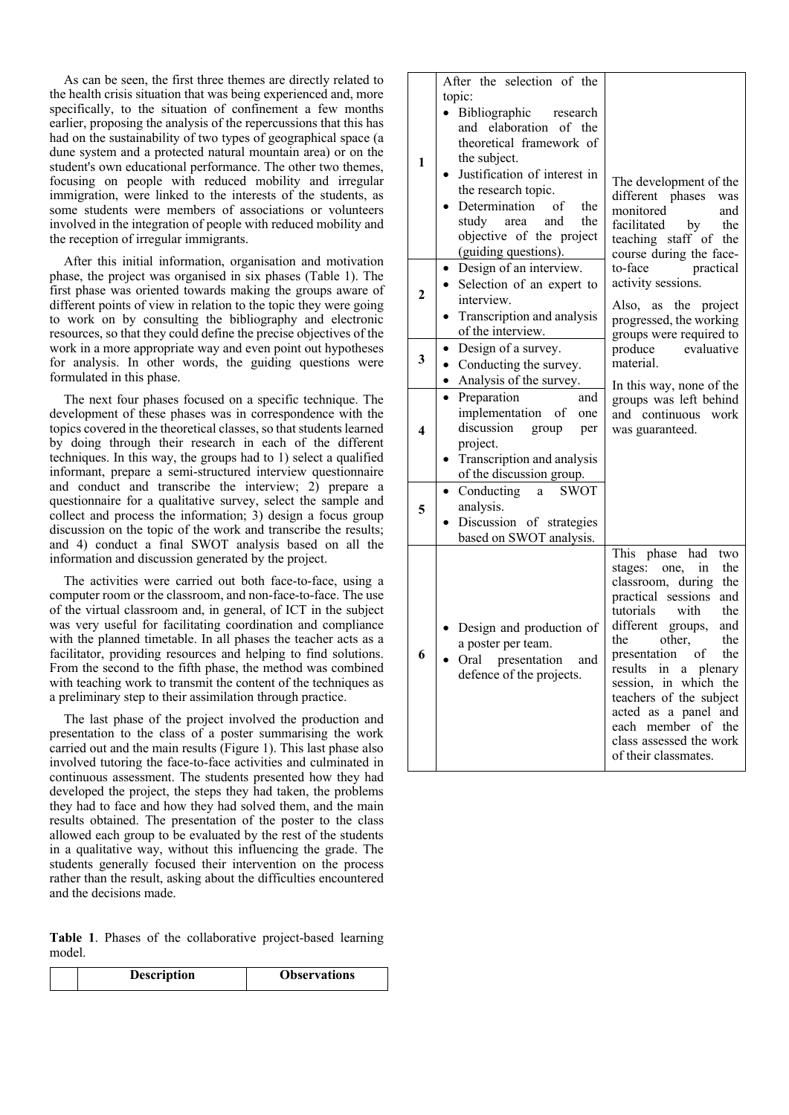As can be seen, the first three themes are directly related to the health crisis situation that was being experienced and, more specifically, to the situation of confinement a few months earlier, proposing the analysis of the repercussions that this has had on the sustainability of two types of geographical space (a dune system and a protected natural mountain area) or on the student's own educational performance. The other two themes, focusing on people with reduced mobility and irregular immigration, were linked to the interests of the students, as some students were members of associations or volunteers involved in the integration of people with reduced mobility and the reception of irregular immigrants.

After this initial information, organisation and motivation phase, the project was organised in six phases (Table 1). The first phase was oriented towards making the groups aware of different points of view in relation to the topic they were going to work on by consulting the bibliography and electronic resources, so that they could define the precise objectives of the work in a more appropriate way and even point out hypotheses for analysis. In other words, the guiding questions were formulated in this phase.

The next four phases focused on a specific technique. The development of these phases was in correspondence with the topics covered in the theoretical classes, so that students learned by doing through their research in each of the different techniques. In this way, the groups had to 1) select a qualified informant, prepare a semi-structured interview questionnaire and conduct and transcribe the interview; 2) prepare a questionnaire for a qualitative survey, select the sample and collect and process the information; 3) design a focus group discussion on the topic of the work and transcribe the results; and 4) conduct a final SWOT analysis based on all the information and discussion generated by the project.

The activities were carried out both face-to-face, using a computer room or the classroom, and non-face-to-face. The use of the virtual classroom and, in general, of ICT in the subject was very useful for facilitating coordination and compliance with the planned timetable. In all phases the teacher acts as a facilitator, providing resources and helping to find solutions. From the second to the fifth phase, the method was combined with teaching work to transmit the content of the techniques as a preliminary step to their assimilation through practice.

The last phase of the project involved the production and presentation to the class of a poster summarising the work carried out and the main results (Figure 1). This last phase also involved tutoring the face-to-face activities and culminated in continuous assessment. The students presented how they had developed the project, the steps they had taken, the problems they had to face and how they had solved them, and the main results obtained. The presentation of the poster to the class allowed each group to be evaluated by the rest of the students in a qualitative way, without this influencing the grade. The students generally focused their intervention on the process rather than the result, asking about the difficulties encountered and the decisions made.

**Table 1**. Phases of the collaborative project-based learning model.

| <b>Description</b> | <b>Observations</b> |
|--------------------|---------------------|
|--------------------|---------------------|

| 1            | After the selection of the<br>topic:<br>Bibliographic<br>research<br>and elaboration of the<br>theoretical framework of<br>the subject.<br>Justification of interest in<br>the research topic.<br>Determination<br>- of<br>the<br>study<br>and<br>the<br>area<br>objective of the project<br>(guiding questions). | The development of the<br>different phases<br>was<br>monitored<br>and<br>facilitated<br>by<br>the<br>teaching staff of the<br>course during the face-                                                                                                                                                                                                                                                    |  |  |  |
|--------------|-------------------------------------------------------------------------------------------------------------------------------------------------------------------------------------------------------------------------------------------------------------------------------------------------------------------|----------------------------------------------------------------------------------------------------------------------------------------------------------------------------------------------------------------------------------------------------------------------------------------------------------------------------------------------------------------------------------------------------------|--|--|--|
| $\mathbf{2}$ | Design of an interview.<br>Selection of an expert to<br>interview.<br>Transcription and analysis<br>of the interview.                                                                                                                                                                                             | to-face<br>practical<br>activity sessions.<br>Also, as the project<br>progressed, the working<br>groups were required to                                                                                                                                                                                                                                                                                 |  |  |  |
| 3            | Design of a survey.<br>$\bullet$<br>Conducting the survey.<br>$\bullet$<br>• Analysis of the survey.                                                                                                                                                                                                              | produce<br>evaluative<br>material.<br>In this way, none of the                                                                                                                                                                                                                                                                                                                                           |  |  |  |
| 4            | Preparation<br>and<br>implementation of one<br>discussion<br>group<br>per<br>project.<br>Transcription and analysis<br>of the discussion group.                                                                                                                                                                   | groups was left behind<br>and continuous work<br>was guaranteed.                                                                                                                                                                                                                                                                                                                                         |  |  |  |
| 5            | Conducting<br><b>SWOT</b><br>$\bullet$<br>a<br>analysis.<br>Discussion of strategies<br>based on SWOT analysis.                                                                                                                                                                                                   |                                                                                                                                                                                                                                                                                                                                                                                                          |  |  |  |
| 6            | Design and production of<br>a poster per team.<br>Oral presentation and<br>defence of the projects.                                                                                                                                                                                                               | This phase had<br>two<br>stages:<br>in<br>the<br>one,<br>classroom, during<br>the<br>practical sessions<br>and<br>tutorials<br>with<br>the<br>different groups,<br>and<br>the<br>other,<br>the<br>presentation<br>of<br>the<br>results in a plenary<br>session, in which the<br>teachers of the subject<br>acted as a panel and<br>each member of the<br>class assessed the work<br>of their classmates. |  |  |  |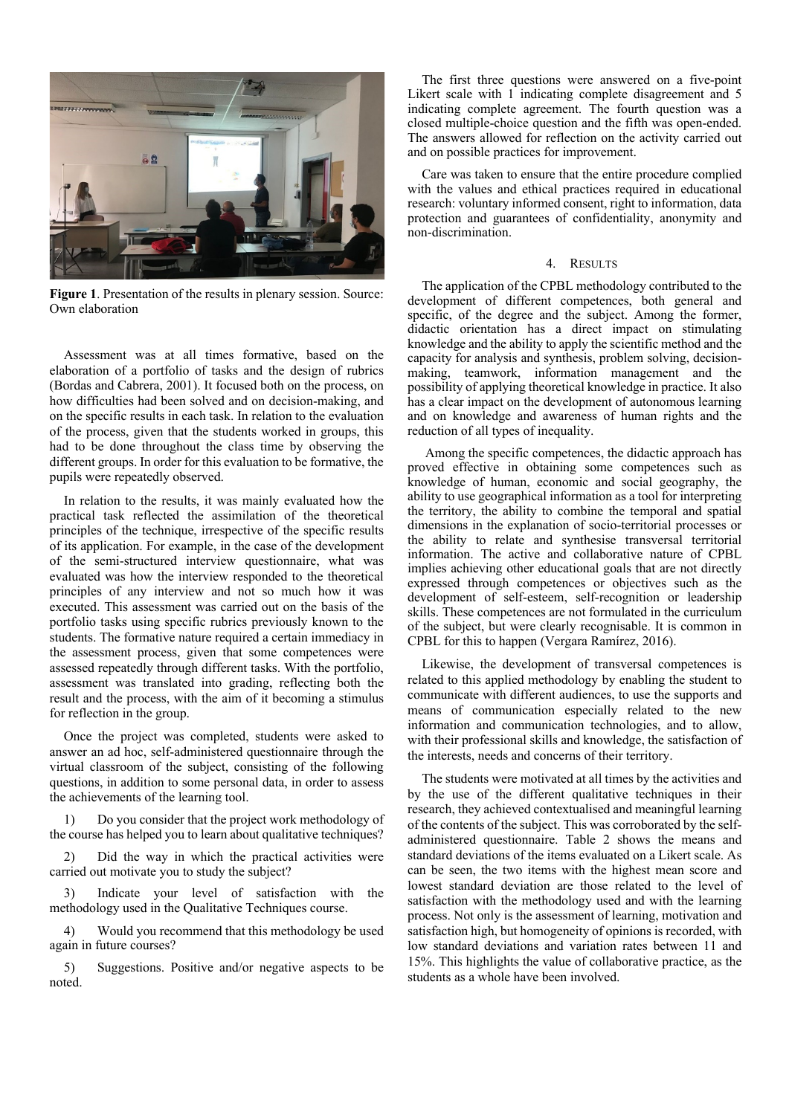

**Figure 1**. Presentation of the results in plenary session. Source: Own elaboration

Assessment was at all times formative, based on the elaboration of a portfolio of tasks and the design of rubrics (Bordas and Cabrera, 2001). It focused both on the process, on how difficulties had been solved and on decision-making, and on the specific results in each task. In relation to the evaluation of the process, given that the students worked in groups, this had to be done throughout the class time by observing the different groups. In order for this evaluation to be formative, the pupils were repeatedly observed.

In relation to the results, it was mainly evaluated how the practical task reflected the assimilation of the theoretical principles of the technique, irrespective of the specific results of its application. For example, in the case of the development of the semi-structured interview questionnaire, what was evaluated was how the interview responded to the theoretical principles of any interview and not so much how it was executed. This assessment was carried out on the basis of the portfolio tasks using specific rubrics previously known to the students. The formative nature required a certain immediacy in the assessment process, given that some competences were assessed repeatedly through different tasks. With the portfolio, assessment was translated into grading, reflecting both the result and the process, with the aim of it becoming a stimulus for reflection in the group.

Once the project was completed, students were asked to answer an ad hoc, self-administered questionnaire through the virtual classroom of the subject, consisting of the following questions, in addition to some personal data, in order to assess the achievements of the learning tool.

1) Do you consider that the project work methodology of the course has helped you to learn about qualitative techniques?

2) Did the way in which the practical activities were carried out motivate you to study the subject?

3) Indicate your level of satisfaction with the methodology used in the Qualitative Techniques course.

4) Would you recommend that this methodology be used again in future courses?

5) Suggestions. Positive and/or negative aspects to be noted.

The first three questions were answered on a five-point Likert scale with 1 indicating complete disagreement and 5 indicating complete agreement. The fourth question was a closed multiple-choice question and the fifth was open-ended. The answers allowed for reflection on the activity carried out and on possible practices for improvement.

Care was taken to ensure that the entire procedure complied with the values and ethical practices required in educational research: voluntary informed consent, right to information, data protection and guarantees of confidentiality, anonymity and non-discrimination.

#### 4. RESULTS

The application of the CPBL methodology contributed to the development of different competences, both general and specific, of the degree and the subject. Among the former, didactic orientation has a direct impact on stimulating knowledge and the ability to apply the scientific method and the capacity for analysis and synthesis, problem solving, decisionmaking, teamwork, information management and the possibility of applying theoretical knowledge in practice. It also has a clear impact on the development of autonomous learning and on knowledge and awareness of human rights and the reduction of all types of inequality.

Among the specific competences, the didactic approach has proved effective in obtaining some competences such as knowledge of human, economic and social geography, the ability to use geographical information as a tool for interpreting the territory, the ability to combine the temporal and spatial dimensions in the explanation of socio-territorial processes or the ability to relate and synthesise transversal territorial information. The active and collaborative nature of CPBL implies achieving other educational goals that are not directly expressed through competences or objectives such as the development of self-esteem, self-recognition or leadership skills. These competences are not formulated in the curriculum of the subject, but were clearly recognisable. It is common in CPBL for this to happen (Vergara Ramírez, 2016).

Likewise, the development of transversal competences is related to this applied methodology by enabling the student to communicate with different audiences, to use the supports and means of communication especially related to the new information and communication technologies, and to allow, with their professional skills and knowledge, the satisfaction of the interests, needs and concerns of their territory.

The students were motivated at all times by the activities and by the use of the different qualitative techniques in their research, they achieved contextualised and meaningful learning of the contents of the subject. This was corroborated by the selfadministered questionnaire. Table 2 shows the means and standard deviations of the items evaluated on a Likert scale. As can be seen, the two items with the highest mean score and lowest standard deviation are those related to the level of satisfaction with the methodology used and with the learning process. Not only is the assessment of learning, motivation and satisfaction high, but homogeneity of opinions is recorded, with low standard deviations and variation rates between 11 and 15%. This highlights the value of collaborative practice, as the students as a whole have been involved.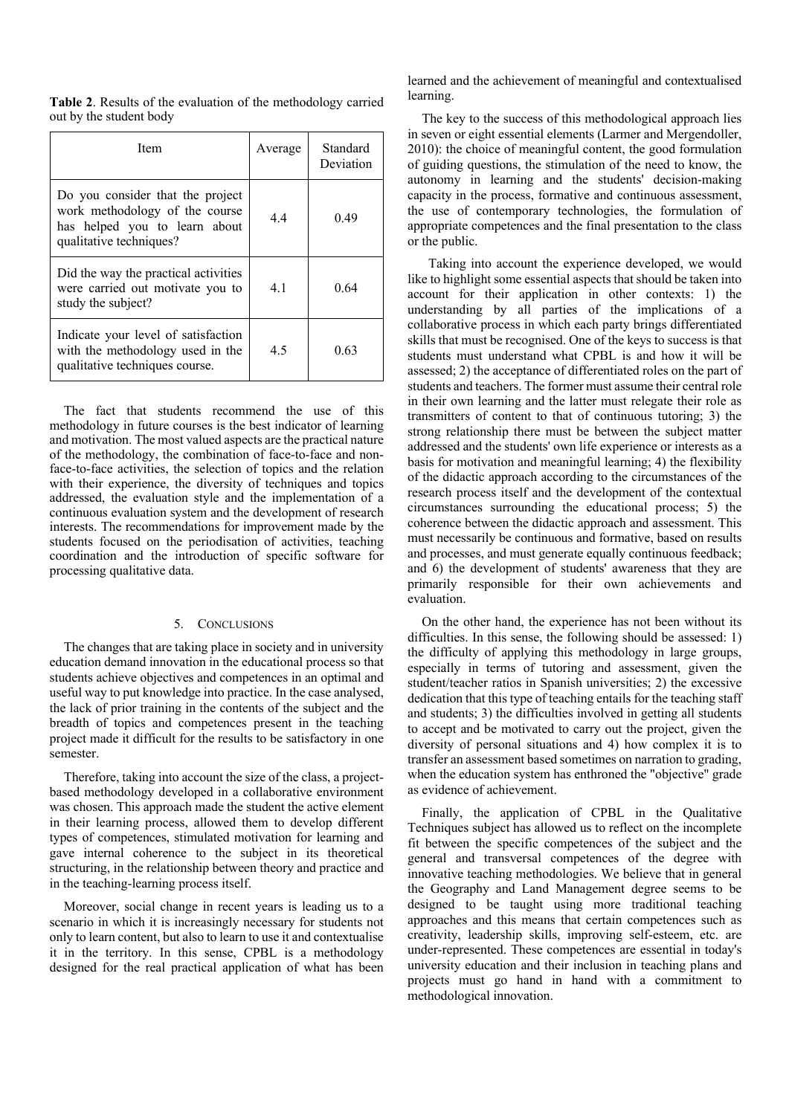|                         |  |  | Table 2. Results of the evaluation of the methodology carried |  |
|-------------------------|--|--|---------------------------------------------------------------|--|
| out by the student body |  |  |                                                               |  |

| Item                                                                                                                           | Average | Standard<br>Deviation |
|--------------------------------------------------------------------------------------------------------------------------------|---------|-----------------------|
| Do you consider that the project<br>work methodology of the course<br>has helped you to learn about<br>qualitative techniques? | 4.4     | 0.49                  |
| Did the way the practical activities<br>were carried out motivate you to<br>study the subject?                                 | 4.1     | 0.64                  |
| Indicate your level of satisfaction<br>with the methodology used in the<br>qualitative techniques course.                      | 4.5     | 0.63                  |

The fact that students recommend the use of this methodology in future courses is the best indicator of learning and motivation. The most valued aspects are the practical nature of the methodology, the combination of face-to-face and nonface-to-face activities, the selection of topics and the relation with their experience, the diversity of techniques and topics addressed, the evaluation style and the implementation of a continuous evaluation system and the development of research interests. The recommendations for improvement made by the students focused on the periodisation of activities, teaching coordination and the introduction of specific software for processing qualitative data.

#### 5. CONCLUSIONS

The changes that are taking place in society and in university education demand innovation in the educational process so that students achieve objectives and competences in an optimal and useful way to put knowledge into practice. In the case analysed, the lack of prior training in the contents of the subject and the breadth of topics and competences present in the teaching project made it difficult for the results to be satisfactory in one semester.

Therefore, taking into account the size of the class, a projectbased methodology developed in a collaborative environment was chosen. This approach made the student the active element in their learning process, allowed them to develop different types of competences, stimulated motivation for learning and gave internal coherence to the subject in its theoretical structuring, in the relationship between theory and practice and in the teaching-learning process itself.

Moreover, social change in recent years is leading us to a scenario in which it is increasingly necessary for students not only to learn content, but also to learn to use it and contextualise it in the territory. In this sense, CPBL is a methodology designed for the real practical application of what has been

learned and the achievement of meaningful and contextualised learning.

The key to the success of this methodological approach lies in seven or eight essential elements (Larmer and Mergendoller, 2010): the choice of meaningful content, the good formulation of guiding questions, the stimulation of the need to know, the autonomy in learning and the students' decision-making capacity in the process, formative and continuous assessment, the use of contemporary technologies, the formulation of appropriate competences and the final presentation to the class or the public.

 Taking into account the experience developed, we would like to highlight some essential aspects that should be taken into account for their application in other contexts: 1) the understanding by all parties of the implications of a collaborative process in which each party brings differentiated skills that must be recognised. One of the keys to success is that students must understand what CPBL is and how it will be assessed; 2) the acceptance of differentiated roles on the part of students and teachers. The former must assume their central role in their own learning and the latter must relegate their role as transmitters of content to that of continuous tutoring; 3) the strong relationship there must be between the subject matter addressed and the students' own life experience or interests as a basis for motivation and meaningful learning; 4) the flexibility of the didactic approach according to the circumstances of the research process itself and the development of the contextual circumstances surrounding the educational process; 5) the coherence between the didactic approach and assessment. This must necessarily be continuous and formative, based on results and processes, and must generate equally continuous feedback; and 6) the development of students' awareness that they are primarily responsible for their own achievements and evaluation.

On the other hand, the experience has not been without its difficulties. In this sense, the following should be assessed: 1) the difficulty of applying this methodology in large groups, especially in terms of tutoring and assessment, given the student/teacher ratios in Spanish universities; 2) the excessive dedication that this type of teaching entails for the teaching staff and students; 3) the difficulties involved in getting all students to accept and be motivated to carry out the project, given the diversity of personal situations and 4) how complex it is to transfer an assessment based sometimes on narration to grading, when the education system has enthroned the "objective" grade as evidence of achievement.

Finally, the application of CPBL in the Qualitative Techniques subject has allowed us to reflect on the incomplete fit between the specific competences of the subject and the general and transversal competences of the degree with innovative teaching methodologies. We believe that in general the Geography and Land Management degree seems to be designed to be taught using more traditional teaching approaches and this means that certain competences such as creativity, leadership skills, improving self-esteem, etc. are under-represented. These competences are essential in today's university education and their inclusion in teaching plans and projects must go hand in hand with a commitment to methodological innovation.